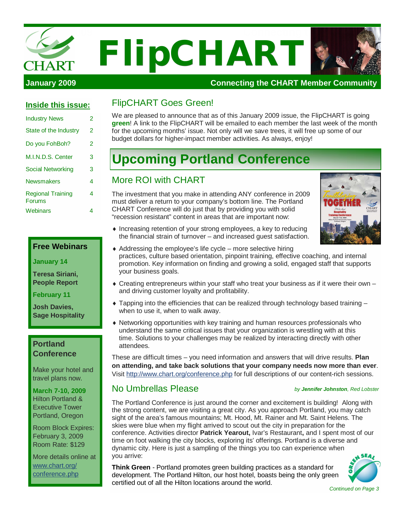

| Inside this issue:                 |   |
|------------------------------------|---|
| <b>Industry News</b>               | 2 |
| State of the Industry              | 2 |
| Do you FohBoh?                     | 2 |
| M.I.N.D.S. Center                  | 3 |
| Social Networking                  | 3 |
| <b>Newsmakers</b>                  | 4 |
| <b>Regional Training</b><br>Forums | 4 |
| Webinars                           | 4 |

#### **Free Webinars**

**January 14**

**Teresa Siriani, People Report**

**February 11**

**Josh Davies, Sage Hospitality**

#### **Portland Conference**

Make your hotel and travel plans now.

**March 7-10, 2009** Hilton Portland & Executive Tower Portland, Oregon

Room Block Expires: February 3, 2009 Room Rate: \$129

More details online at [www.chart.org/](http://www.chart.org/) conference.php

### FlipCHART Goes Green!

We are pleased to announce that as of this January 2009 issue, the FlipCHART is going **green**! A link to the FlipCHART will be emailed to each member the last week of the month for the upcoming months' issue. Not only will we save trees, it will free up some of our budget dollars for higher-impact member activities. As always, enjoy!

# **Upcoming Portland Conference**

#### More ROI with CHART

The investment that you make in attending ANY conference in 2009 must deliver a return to your company's bottom line. The Portland CHART Conference will do just that by providing you with solid "recession resistant" content in areas that are important now:



- $\bullet$  Increasing retention of your strong employees, a key to reducing the financial strain of turnover – and increased guest satisfaction.
- $\triangle$  Addressing the employee's life cycle more selective hiring practices, culture based orientation, pinpoint training, effective coaching, and internal promotion. Key information on finding and growing a solid, engaged staff that supports your business goals.
- $\bullet$  Creating entrepreneurs within your staff who treat your business as if it were their own and driving customer loyalty and profitability.
- $\bullet$  Tapping into the efficiencies that can be realized through technology based training when to use it, when to walk away.
- $\bullet$  Networking opportunities with key training and human resources professionals who understand the same critical issues that your organization is wrestling with at this time. Solutions to your challenges may be realized by interacting directly with other attendees.

These are difficult times – you need information and answers that will drive results. **Plan on attending, and take back solutions that your company needs now more than ever**. Visit <http://www.chart.org/conference.php>for full descriptions of our content-rich sessions.

## No Umbrellas Please

#### *by Jennifer Johnston, Red Lobster*

The Portland Conference is just around the corner and excitement is building! Along with the strong content, we are visiting a great city. As you approach Portland, you may catch sight of the area's famous mountains; Mt. Hood, Mt. Rainer and Mt. Saint Helens. The skies were blue when my flight arrived to scout out the city in preparation for the conference. Activities director **Patrick Yearout,** Ivar's Restaurant**,** and I spent most of our time on foot walking the city blocks, exploring its' offerings. Portland is a diverse and dynamic city. Here is just a sampling of the things you too can experience when you arrive:

**Think Green** - Portland promotes green building practices as a standard for development. The Portland Hilton, our host hotel, boasts being the only green certified out of all the Hilton locations around the world.



*Continued on Page 3*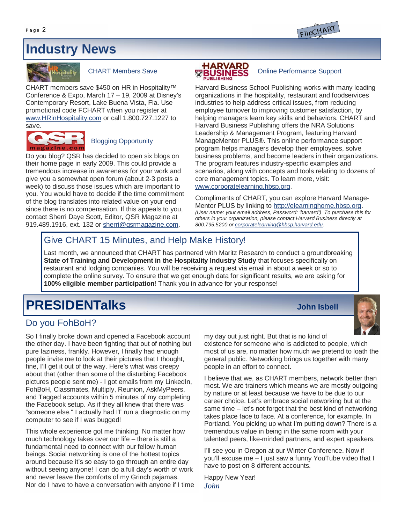# **Industry News**



#### CHART Members Save

CHART members save \$450 on HR in Hospitality™ Conference & Expo, March 17 – 19, 2009 at Disney's Contemporary Resort, Lake Buena Vista, Fla. Use promotional code FCHART when you register at [www.HRinHospitality.com](http://www.HRinHospitality.com) or call 1.800.727.1227 to save.



#### Blogging Opportunity

Do you blog? QSR has decided to open six blogs on their home page in early 2009. This could provide a tremendous increase in awareness for your work and give you a somewhat open forum (about 2-3 posts a week) to discuss those issues which are important to you. You would have to decide if the time commitment of the blog translates into related value on your end since there is no compensation. If this appeals to you, contact Sherri Daye Scott, Editor, QSR Magazine at 919.489.1916, ext. 132 or [sherri@qsrmagazine.com.](mailto:sherri@qsrmagazine.com)

#### **HARVARD<br>BUSINESS** Online Performance Support

Harvard Business School Publishing works with many leading organizations in the hospitality, restaurant and foodservices industries to help address critical issues, from reducing employee turnover to improving customer satisfaction, by helping managers learn key skills and behaviors. CHART and Harvard Business Publishing offers the NRA Solutions Leadership & Management Program, featuring Harvard ManageMentor PLUS®. This online performance support program helps managers develop their employees, solve business problems, and become leaders in their organizations. The program features industry-specific examples and scenarios, along with concepts and tools relating to dozens of core management topics. To learn more, visit: [www.corporatelearning.hbsp.org.](http://www.corporatelearning.hbsp.org.)

Compliments of CHART, you can explore Harvard Manage-Mentor PLUS by linking to <http://elearninghome.hbsp.org.> *(User name: your email address, Password: 'harvard') To purchase this for others in your organization, please contact Harvard Business directly at 800.795.5200 or [corporatelearning@hbsp.harvard.edu](mailto:corporatelearning@hbsp.harvard.edu).*

## Give CHART 15 Minutes, and Help Make History!

Last month, we announced that CHART has partnered with Maritz Research to conduct a groundbreaking **State of Training and Development in the Hospitality Industry Study** that focuses specifically on restaurant and lodging companies. You will be receiving a request via email in about a week or so to complete the online survey. To ensure that we get enough data for significant results, we are asking for **100% eligible member participation**! Thank you in advance for your response!

# **PRESIDENTalks John Isbell**

## Do you FohBoH?

So I finally broke down and opened a Facebook account the other day. I have been fighting that out of nothing but pure laziness, frankly. However, I finally had enough people invite me to look at their pictures that I thought, fine, I'll get it out of the way. Here's what was creepy about that (other than some of the disturbing Facebook pictures people sent me) - I got emails from my LinkedIn, FohBoH, Classmates, Multiply, Reunion, AskMyPeers, and Tagged accounts within 5 minutes of my completing the Facebook setup. As if they all knew that there was "someone else." I actually had IT run a diagnostic on my computer to see if I was bugged!

This whole experience got me thinking. No matter how much technology takes over our life – there is still a fundamental need to connect with our fellow human beings. Social networking is one of the hottest topics around because it's so easy to go through an entire day without seeing anyone! I can do a full day's worth of work and never leave the comforts of my Grinch pajamas. Nor do I have to have a conversation with anyone if I time



my day out just right. But that is no kind of existence for someone who is addicted to people, which most of us are, no matter how much we pretend to loath the general public. Networking brings us together with many people in an effort to connect.

I believe that we, as CHART members, network better than most. We are trainers which means we are mostly outgoing by nature or at least because we have to be due to our career choice. Let's embrace social networking but at the same time – let's not forget that the best kind of networking takes place face to face. At a conference, for example. In Portland. You picking up what I'm putting down? There is a tremendous value in being in the same room with your talented peers, like-minded partners, and expert speakers.

I'll see you in Oregon at our Winter Conference. Now if you'll excuse me – I just saw a funny YouTube video that I have to post on 8 different accounts.

Happy New Year! *John*

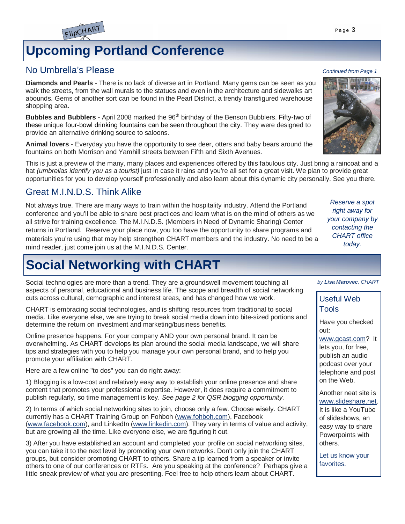# **Upcoming Portland Conference**

## No Umbrella's Please *Continued from Page 1*

FlipCHART

**Diamonds and Pearls** - There is no lack of diverse art in Portland. Many gems can be seen as you walk the streets, from the wall murals to the statues and even in the architecture and sidewalks art abounds. Gems of another sort can be found in the Pearl District, a trendy transfigured warehouse shopping area.

**Bubbles and Bubblers** - April 2008 marked the 96<sup>th</sup> birthday of the Benson Bubblers. Fifty-two of these unique four-bowl drinking fountains can be seen throughout the city. They were designed to provide an alternative drinking source to saloons.

**Animal lovers** - Everyday you have the opportunity to see deer, otters and baby bears around the fountains on both Morrison and Yamhill streets between Fifth and Sixth Avenues.

This is just a preview of the many, many places and experiences offered by this fabulous city. Just bring a raincoat and a hat *(umbrellas identify you as a tourist)* just in case it rains and you're all set for a great visit. We plan to provide great opportunities for you to develop yourself professionally and also learn about this dynamic city personally. See you there.

## Great M.I.N.D.S. Think Alike

Not always true. There are many ways to train within the hospitality industry. Attend the Portland conference and you'll be able to share best practices and learn what is on the mind of others as we all strive for training excellence. The M.I.N.D.S. (Members in Need of Dynamic Sharing) Center returns in Portland. Reserve your place now, you too have the opportunity to share programs and materials you're using that may help strengthen CHART members and the industry. No need to be a mind reader, just come join us at the M.I.N.D.S. Center.

# **Social Networking with CHART**

Social technologies are more than a trend. They are a groundswell movement touching all aspects of personal, educational and business life. The scope and breadth of social networking cuts across cultural, demographic and interest areas, and has changed how we work.

CHART is embracing social technologies, and is shifting resources from traditional to social media. Like everyone else, we are trying to break social media down into bite-sized portions and determine the return on investment and marketing/business benefits.

Online presence happens. For your company AND your own personal brand. It can be overwhelming. As CHART develops its plan around the social media landscape, we will share tips and strategies with you to help you manage your own personal brand, and to help you promote your affiliation with CHART.

Here are a few online "to dos" you can do right away:

1) Blogging is a low-cost and relatively easy way to establish your online presence and share content that promotes your professional expertise. However, it does require a commitment to publish regularly, so time management is key. *See page 2 for QSR blogging opportunity.*

2) In terms of which social networking sites to join, choose only a few. Choose wisely. CHART currently has a CHART Training Group on Fohboh ([www.fohboh.com\)](http://www.fohboh.com), Facebook [\(www.facebook.com](http://www.facebook.com)), and LinkedIn [\(www.linkedin.com\).](http://www.linkedin.com).) They vary in terms of value and activity, but are growing all the time. Like everyone else, we are figuring it out.

3) After you have established an account and completed your profile on social networking sites, you can take it to the next level by promoting your own networks. Don't only join the CHART groups, but consider promoting CHART to others. Share a tip learned from a speaker or invite others to one of our conferences or RTFs. Are you speaking at the conference? Perhaps give a little sneak preview of what you are presenting. Feel free to help others learn about CHART.



*Reserve a spot right away for your company by contacting the CHART office today.*

*by Lisa Marovec, CHART*

## Useful Web Tools

Have you checked out:

[www.gcast.com?](http://www.gcast.com?) It lets you, for free, publish an audio podcast over your telephone and post on the Web.

Another neat site is [www.slideshare.net.](http://www.slideshare.net.)

It is like a YouTube of slideshows, an easy way to share Powerpoints with others.

Let us know your favorites.